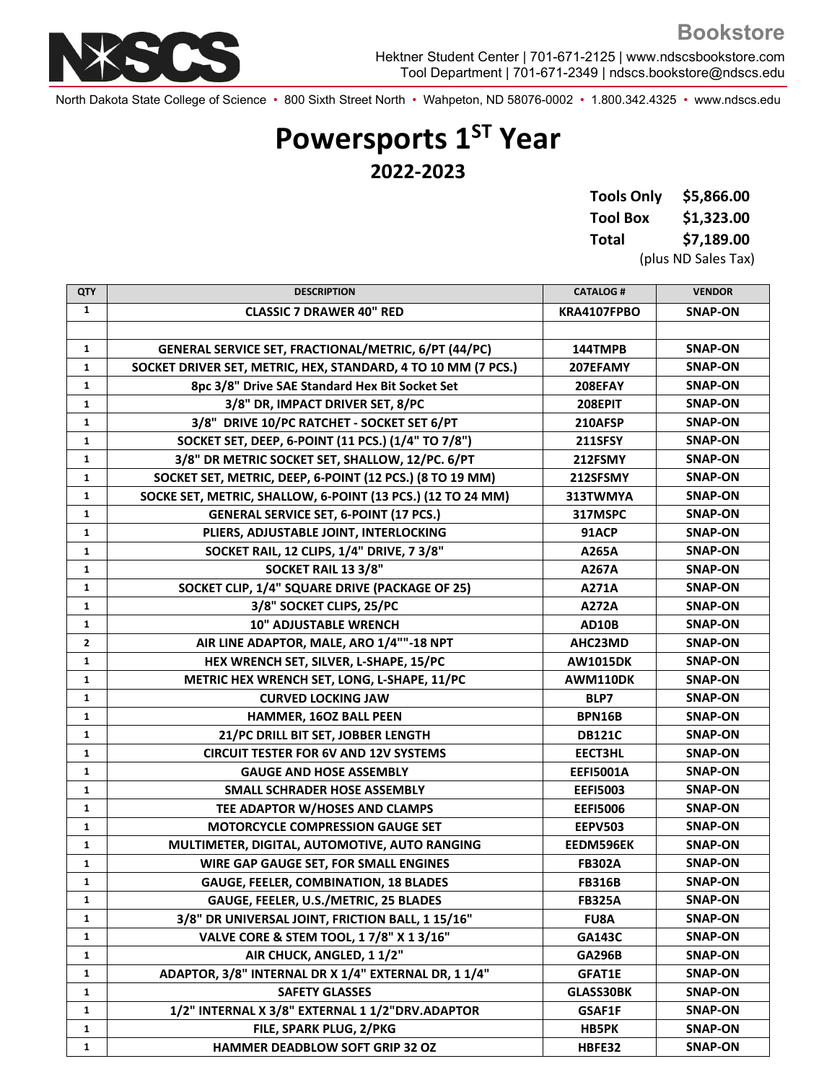

Hektner Student Center | 701-671-2125 | www.ndscsbookstore.com Tool Department | 701-671-2349 | ndscs.bookstore@ndscs.edu

North Dakota State College of Science • 800 Sixth Street North • Wahpeton, ND 58076-0002 • 1.800.342.4325 • www.ndscs.edu

## **Powersports 1ST Year 2022-2023**

| <b>Tools Only</b> | \$5,866.00 |
|-------------------|------------|
| <b>Tool Box</b>   | \$1,323.00 |
| Total             | \$7,189.00 |

(plus ND Sales Tax)

**Bookstore**

| <b>QTY</b>   | <b>DESCRIPTION</b>                                            | <b>CATALOG#</b>  | <b>VENDOR</b>  |
|--------------|---------------------------------------------------------------|------------------|----------------|
| $\mathbf{1}$ | <b>CLASSIC 7 DRAWER 40" RED</b>                               | KRA4107FPBO      | <b>SNAP-ON</b> |
|              |                                                               |                  |                |
| $\mathbf{1}$ | GENERAL SERVICE SET, FRACTIONAL/METRIC, 6/PT (44/PC)          | 144TMPB          | <b>SNAP-ON</b> |
| 1            | SOCKET DRIVER SET, METRIC, HEX, STANDARD, 4 TO 10 MM (7 PCS.) | 207EFAMY         | <b>SNAP-ON</b> |
| $\mathbf{1}$ | 8pc 3/8" Drive SAE Standard Hex Bit Socket Set                | 208EFAY          | <b>SNAP-ON</b> |
| $\mathbf{1}$ | 3/8" DR, IMPACT DRIVER SET, 8/PC                              | 208EPIT          | <b>SNAP-ON</b> |
| $\mathbf{1}$ | 3/8" DRIVE 10/PC RATCHET - SOCKET SET 6/PT                    | 210AFSP          | <b>SNAP-ON</b> |
| 1            | SOCKET SET, DEEP, 6-POINT (11 PCS.) (1/4" TO 7/8")            | <b>211SFSY</b>   | <b>SNAP-ON</b> |
| $\mathbf{1}$ | 3/8" DR METRIC SOCKET SET, SHALLOW, 12/PC. 6/PT               | 212FSMY          | <b>SNAP-ON</b> |
| $\mathbf{1}$ | SOCKET SET, METRIC, DEEP, 6-POINT (12 PCS.) (8 TO 19 MM)      | 212SFSMY         | <b>SNAP-ON</b> |
| 1            | SOCKE SET, METRIC, SHALLOW, 6-POINT (13 PCS.) (12 TO 24 MM)   | 313TWMYA         | <b>SNAP-ON</b> |
| $\mathbf{1}$ | <b>GENERAL SERVICE SET, 6-POINT (17 PCS.)</b>                 | 317MSPC          | <b>SNAP-ON</b> |
| 1            | PLIERS, ADJUSTABLE JOINT, INTERLOCKING                        | 91ACP            | <b>SNAP-ON</b> |
| $\mathbf{1}$ | SOCKET RAIL, 12 CLIPS, 1/4" DRIVE, 7 3/8"                     | A265A            | <b>SNAP-ON</b> |
| $\mathbf{1}$ | SOCKET RAIL 13 3/8"                                           | A267A            | <b>SNAP-ON</b> |
| $\mathbf{1}$ | SOCKET CLIP, 1/4" SQUARE DRIVE (PACKAGE OF 25)                | A271A            | <b>SNAP-ON</b> |
| $\mathbf{1}$ | 3/8" SOCKET CLIPS, 25/PC                                      | A272A            | <b>SNAP-ON</b> |
| $\mathbf{1}$ | <b>10" ADJUSTABLE WRENCH</b>                                  | AD10B            | <b>SNAP-ON</b> |
| $\mathbf{2}$ | AIR LINE ADAPTOR, MALE, ARO 1/4""-18 NPT                      | AHC23MD          | <b>SNAP-ON</b> |
| $\mathbf{1}$ | HEX WRENCH SET, SILVER, L-SHAPE, 15/PC                        | <b>AW1015DK</b>  | <b>SNAP-ON</b> |
| $\mathbf{1}$ | METRIC HEX WRENCH SET, LONG, L-SHAPE, 11/PC                   | AWM110DK         | <b>SNAP-ON</b> |
| $\mathbf{1}$ | <b>CURVED LOCKING JAW</b>                                     | BLP7             | <b>SNAP-ON</b> |
| 1            | HAMMER, 16OZ BALL PEEN                                        | <b>BPN16B</b>    | <b>SNAP-ON</b> |
| $\mathbf{1}$ | 21/PC DRILL BIT SET, JOBBER LENGTH                            | <b>DB121C</b>    | <b>SNAP-ON</b> |
| 1            | <b>CIRCUIT TESTER FOR 6V AND 12V SYSTEMS</b>                  | <b>EECT3HL</b>   | <b>SNAP-ON</b> |
| 1            | <b>GAUGE AND HOSE ASSEMBLY</b>                                | <b>EEFI5001A</b> | <b>SNAP-ON</b> |
| $\mathbf{1}$ | SMALL SCHRADER HOSE ASSEMBLY                                  | <b>EEFI5003</b>  | <b>SNAP-ON</b> |
| $\mathbf{1}$ | TEE ADAPTOR W/HOSES AND CLAMPS                                | <b>EEFI5006</b>  | <b>SNAP-ON</b> |
| 1            | <b>MOTORCYCLE COMPRESSION GAUGE SET</b>                       | <b>EEPV503</b>   | <b>SNAP-ON</b> |
| $\mathbf{1}$ | MULTIMETER, DIGITAL, AUTOMOTIVE, AUTO RANGING                 | EEDM596EK        | <b>SNAP-ON</b> |
| $\mathbf{1}$ | WIRE GAP GAUGE SET, FOR SMALL ENGINES                         | <b>FB302A</b>    | <b>SNAP-ON</b> |
| $\mathbf{1}$ | <b>GAUGE, FEELER, COMBINATION, 18 BLADES</b>                  | <b>FB316B</b>    | <b>SNAP-ON</b> |
| 1            | GAUGE, FEELER, U.S./METRIC, 25 BLADES                         | <b>FB325A</b>    | SNAP-ON        |
| $\mathbf{1}$ | 3/8" DR UNIVERSAL JOINT, FRICTION BALL, 1 15/16"              | <b>FU8A</b>      | SNAP-ON        |
| 1            | VALVE CORE & STEM TOOL, 1 7/8" X 1 3/16"                      | <b>GA143C</b>    | SNAP-ON        |
| $\mathbf{1}$ | AIR CHUCK, ANGLED, 11/2"                                      | <b>GA296B</b>    | <b>SNAP-ON</b> |
| 1            | ADAPTOR, 3/8" INTERNAL DR X 1/4" EXTERNAL DR, 1 1/4"          | <b>GFAT1E</b>    | <b>SNAP-ON</b> |
| $\mathbf{1}$ | <b>SAFETY GLASSES</b>                                         | GLASS30BK        | <b>SNAP-ON</b> |
| 1            | 1/2" INTERNAL X 3/8" EXTERNAL 1 1/2"DRV.ADAPTOR               | GSAF1F           | SNAP-ON        |
| $\mathbf{1}$ | FILE, SPARK PLUG, 2/PKG                                       | <b>HB5PK</b>     | SNAP-ON        |
| 1            | HAMMER DEADBLOW SOFT GRIP 32 OZ                               | HBFE32           | SNAP-ON        |